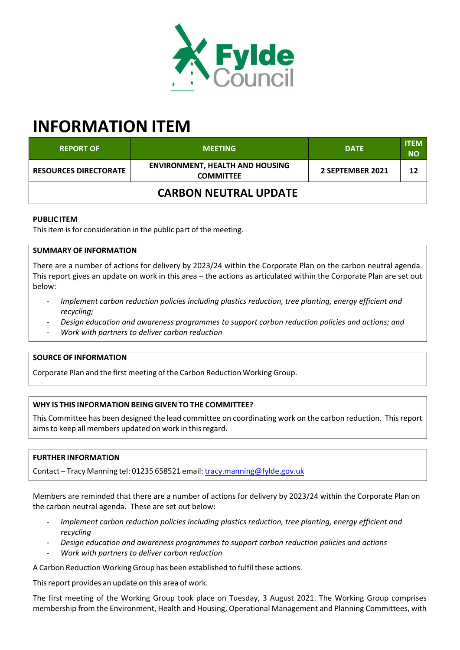

# **INFORMATION ITEM**

| <b>REPORT OF</b>             | <b>MEETING</b>                                             | <b>DATE</b>      | <b>ITEM</b><br><b>NO</b> |
|------------------------------|------------------------------------------------------------|------------------|--------------------------|
| <b>RESOURCES DIRECTORATE</b> | <b>ENVIRONMENT, HEALTH AND HOUSING</b><br><b>COMMITTEE</b> | 2 SEPTEMBER 2021 | 12                       |
| <b>CARBON NEUTRAL UPDATE</b> |                                                            |                  |                          |

## **PUBLIC ITEM**

This item is for consideration in the public part of the meeting.

## **SUMMARY OF INFORMATION**

There are a number of actions for delivery by 2023/24 within the Corporate Plan on the carbon neutral agenda. This report gives an update on work in this area – the actions as articulated within the Corporate Plan are set out below:

- ‐ *Implement carbon reduction policies including plastics reduction, tree planting, energy efficient and recycling;*
- ‐ *Design education and awareness programmes to support carbon reduction policies and actions; and*
- ‐ *Work with partners to deliver carbon reduction*

#### **SOURCE OF INFORMATION**

Corporate Plan and the first meeting of the Carbon Reduction Working Group.

#### **WHY IS THIS INFORMATION BEING GIVEN TO THE COMMITTEE?**

This Committee has been designed the lead committee on coordinating work on the carbon reduction. Thisreport aimsto keep all members updated on work in thisregard.

#### **FURTHER INFORMATION**

Contact – Tracy Manning tel: 01235 658521 email: tracy.manning@fylde.gov.uk

Members are reminded that there are a number of actions for delivery by 2023/24 within the Corporate Plan on the carbon neutral agenda. These are set out below:

- ‐ *Implement carbon reduction policies including plastics reduction, tree planting, energy efficient and recycling*
- ‐ *Design education and awareness programmes to support carbon reduction policies and actions*
- ‐ *Work with partners to deliver carbon reduction*

A Carbon Reduction Working Group has been established to fulfil these actions.

This report provides an update on this area of work.

The first meeting of the Working Group took place on Tuesday, 3 August 2021. The Working Group comprises membership from the Environment, Health and Housing, Operational Management and Planning Committees, with